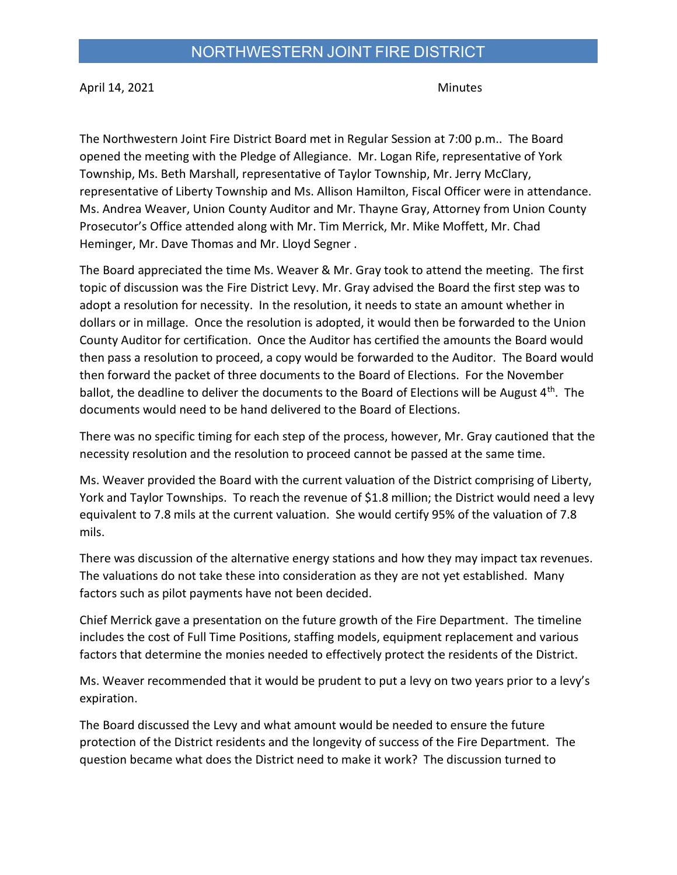April 14, 2021 Minutes

The Northwestern Joint Fire District Board met in Regular Session at 7:00 p.m.. The Board opened the meeting with the Pledge of Allegiance. Mr. Logan Rife, representative of York Township, Ms. Beth Marshall, representative of Taylor Township, Mr. Jerry McClary, representative of Liberty Township and Ms. Allison Hamilton, Fiscal Officer were in attendance. Ms. Andrea Weaver, Union County Auditor and Mr. Thayne Gray, Attorney from Union County Prosecutor's Office attended along with Mr. Tim Merrick, Mr. Mike Moffett, Mr. Chad Heminger, Mr. Dave Thomas and Mr. Lloyd Segner .

The Board appreciated the time Ms. Weaver & Mr. Gray took to attend the meeting. The first topic of discussion was the Fire District Levy. Mr. Gray advised the Board the first step was to adopt a resolution for necessity. In the resolution, it needs to state an amount whether in dollars or in millage. Once the resolution is adopted, it would then be forwarded to the Union County Auditor for certification. Once the Auditor has certified the amounts the Board would then pass a resolution to proceed, a copy would be forwarded to the Auditor. The Board would then forward the packet of three documents to the Board of Elections. For the November ballot, the deadline to deliver the documents to the Board of Elections will be August  $4<sup>th</sup>$ . The documents would need to be hand delivered to the Board of Elections.

There was no specific timing for each step of the process, however, Mr. Gray cautioned that the necessity resolution and the resolution to proceed cannot be passed at the same time.

Ms. Weaver provided the Board with the current valuation of the District comprising of Liberty, York and Taylor Townships. To reach the revenue of \$1.8 million; the District would need a levy equivalent to 7.8 mils at the current valuation. She would certify 95% of the valuation of 7.8 mils.

There was discussion of the alternative energy stations and how they may impact tax revenues. The valuations do not take these into consideration as they are not yet established. Many factors such as pilot payments have not been decided.

Chief Merrick gave a presentation on the future growth of the Fire Department. The timeline includes the cost of Full Time Positions, staffing models, equipment replacement and various factors that determine the monies needed to effectively protect the residents of the District.

Ms. Weaver recommended that it would be prudent to put a levy on two years prior to a levy's expiration.

The Board discussed the Levy and what amount would be needed to ensure the future protection of the District residents and the longevity of success of the Fire Department. The question became what does the District need to make it work? The discussion turned to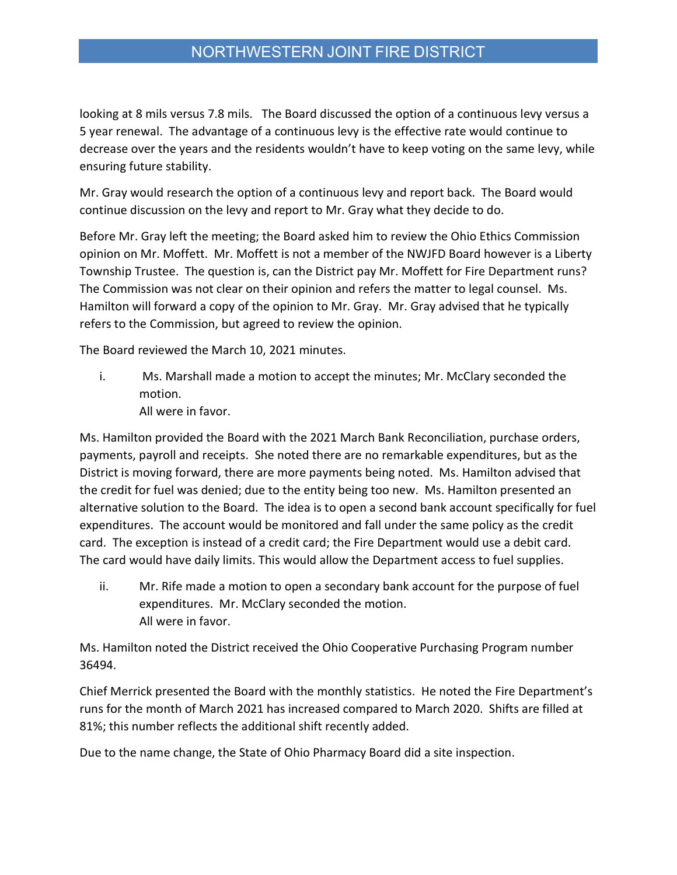## NORTHWESTERN JOINT FIRE DISTRICT

looking at 8 mils versus 7.8 mils. The Board discussed the option of a continuous levy versus a 5 year renewal. The advantage of a continuous levy is the effective rate would continue to decrease over the years and the residents wouldn't have to keep voting on the same levy, while ensuring future stability.

Mr. Gray would research the option of a continuous levy and report back. The Board would continue discussion on the levy and report to Mr. Gray what they decide to do.

Before Mr. Gray left the meeting; the Board asked him to review the Ohio Ethics Commission opinion on Mr. Moffett. Mr. Moffett is not a member of the NWJFD Board however is a Liberty Township Trustee. The question is, can the District pay Mr. Moffett for Fire Department runs? The Commission was not clear on their opinion and refers the matter to legal counsel. Ms. Hamilton will forward a copy of the opinion to Mr. Gray. Mr. Gray advised that he typically refers to the Commission, but agreed to review the opinion.

The Board reviewed the March 10, 2021 minutes.

- i. Ms. Marshall made a motion to accept the minutes; Mr. McClary seconded the motion.
	- All were in favor.

Ms. Hamilton provided the Board with the 2021 March Bank Reconciliation, purchase orders, payments, payroll and receipts. She noted there are no remarkable expenditures, but as the District is moving forward, there are more payments being noted. Ms. Hamilton advised that the credit for fuel was denied; due to the entity being too new. Ms. Hamilton presented an alternative solution to the Board. The idea is to open a second bank account specifically for fuel expenditures. The account would be monitored and fall under the same policy as the credit card. The exception is instead of a credit card; the Fire Department would use a debit card. The card would have daily limits. This would allow the Department access to fuel supplies.

ii. Mr. Rife made a motion to open a secondary bank account for the purpose of fuel expenditures. Mr. McClary seconded the motion. All were in favor.

Ms. Hamilton noted the District received the Ohio Cooperative Purchasing Program number 36494.

Chief Merrick presented the Board with the monthly statistics. He noted the Fire Department's runs for the month of March 2021 has increased compared to March 2020. Shifts are filled at 81%; this number reflects the additional shift recently added.

Due to the name change, the State of Ohio Pharmacy Board did a site inspection.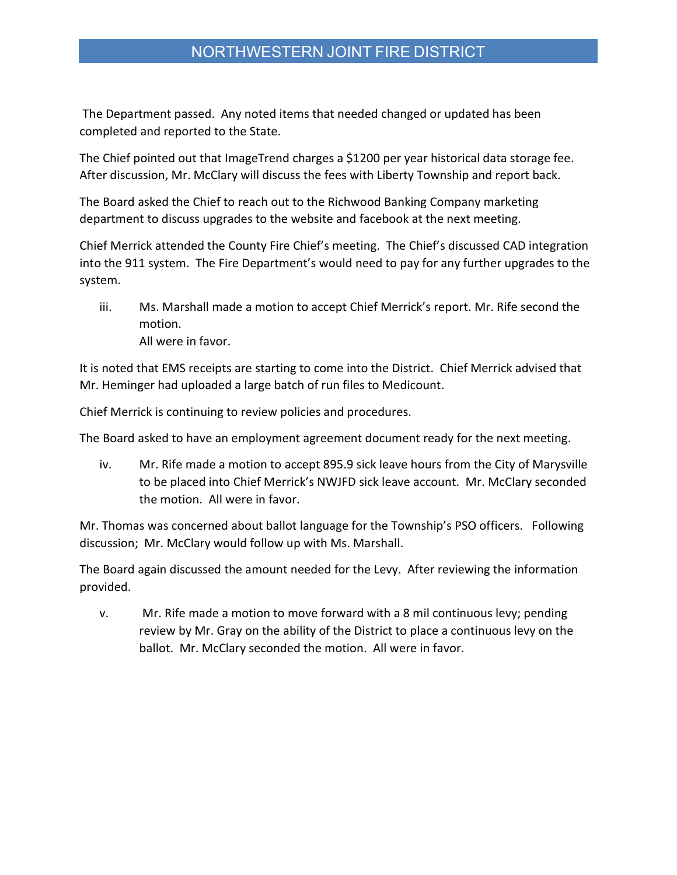## NORTHWESTERN JOINT FIRE DISTRICT

 The Department passed. Any noted items that needed changed or updated has been completed and reported to the State.

The Chief pointed out that ImageTrend charges a \$1200 per year historical data storage fee. After discussion, Mr. McClary will discuss the fees with Liberty Township and report back.

The Board asked the Chief to reach out to the Richwood Banking Company marketing department to discuss upgrades to the website and facebook at the next meeting.

Chief Merrick attended the County Fire Chief's meeting. The Chief's discussed CAD integration into the 911 system. The Fire Department's would need to pay for any further upgrades to the system.

iii. Ms. Marshall made a motion to accept Chief Merrick's report. Mr. Rife second the motion. All were in favor.

It is noted that EMS receipts are starting to come into the District. Chief Merrick advised that Mr. Heminger had uploaded a large batch of run files to Medicount.

Chief Merrick is continuing to review policies and procedures.

The Board asked to have an employment agreement document ready for the next meeting.

iv. Mr. Rife made a motion to accept 895.9 sick leave hours from the City of Marysville to be placed into Chief Merrick's NWJFD sick leave account. Mr. McClary seconded the motion. All were in favor.

Mr. Thomas was concerned about ballot language for the Township's PSO officers. Following discussion; Mr. McClary would follow up with Ms. Marshall.

The Board again discussed the amount needed for the Levy. After reviewing the information provided.

v. Mr. Rife made a motion to move forward with a 8 mil continuous levy; pending review by Mr. Gray on the ability of the District to place a continuous levy on the ballot. Mr. McClary seconded the motion. All were in favor.